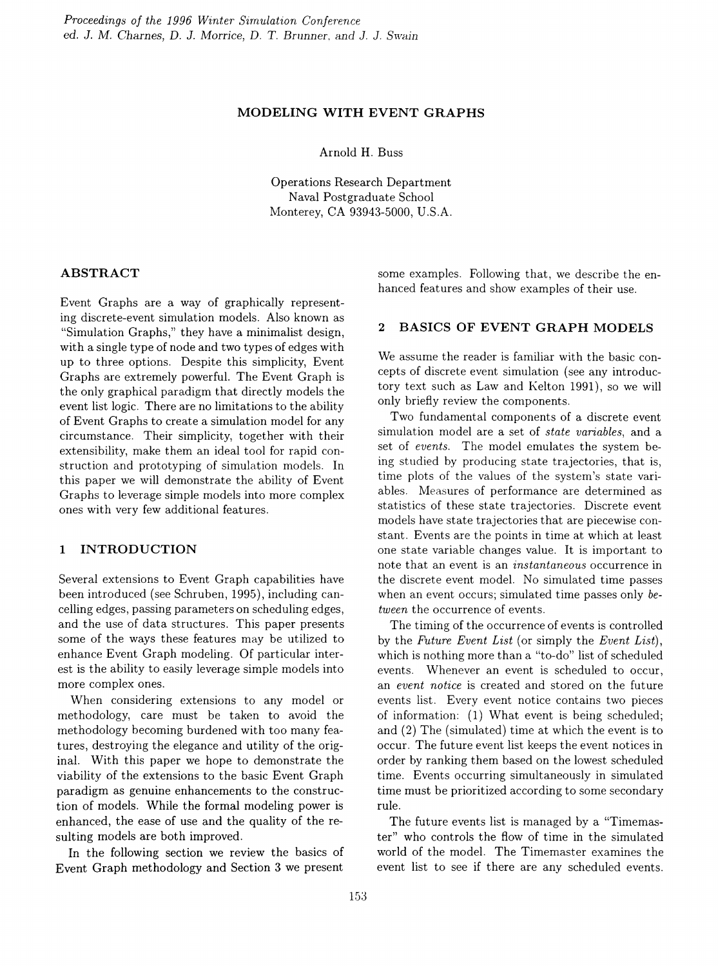### MODELING WITH EVENT GRAPHS

Arnold H. Buss

Operations Research Department Naval Postgraduate School Monterey, CA 93943-5000, U.S.A.

# ABSTRACT

Event Graphs are a way of graphically representing discrete-event simulation models. Also known as "Simulation Graphs," they have a minimalist design, with a single type of node and two types of edges with up to three options. Despite this simplicity, Event Graphs are extremely powerful. The Event Graph is the only graphical paradigm that directly models the event list logic. There are no limitations to the ability of Event Graphs to create a simulation model for any circumstance. Their simplicity, together with their extensibility, make them an ideal tool for rapid construction and prototyping of simulation models. In this paper we will demonstrate the ability of Event Graphs to leverage simple models into more complex ones with very few additional features.

# 1 INTRODUCTION

Several extensions to Event Graph capabilities have been introduced (see Schruben, 1995), including cancelling edges, passing parameters on scheduling edges, and the use of data structures. This paper presents some of the ways these features may be utilized to enhance Event Graph modeling. Of particular interest is the ability to easily leverage simple models into more complex ones.

When considering extensions to any model or methodology, care must be taken to avoid the methodology becoming burdened with too many features, destroying the elegance and utility of the original. With this paper we hope to demonstrate the viability of the extensions to the basic Event Graph paradigm as genuine enhancements to the construction of models. While the formal modeling power is enhanced, the ease of use and the quality of the resulting models are both improved.

In the following section we review the basics of Event Graph methodology and Section 3 we present some examples. Following that, we describe the enhanced features and show examples of their use.

## 2 BASICS OF EVENT GRAPH MODELS

We assume the reader is familiar with the basic concepts of discrete event simulation (see any introductory text such as Law and Kelton 1991), so we will only briefly review the components.

Two fundamental components of a discrete event simulation model are a set of *state variables*, and a set of *events.* The model emulates the system being studied by producing state trajectories, that is, time plots of the values of the system's state variables. Measures of performance are determined as statistics of these state trajectories. Discrete event models have state trajectories that are piecewise constant. Events are the points in time at which at least one state variable changes value. It is important to note that an event is an *instantaneous* occurrence in the discrete event model. No simulated time passes when an event occurs; simulated time passes only *between* the occurrence of events.

The timing of the occurrence of events is controlled by the *Future Event List* (or simply the *Event List),* which is nothing more than a "to-do" list of scheduled events. Whenever an event is scheduled to occur, an *event notice* is created and stored on the future events list. Every event notice contains two pieces of information: (1) What event is being scheduled; and (2) The (simulated) time at which the event is to occur. The future event list keeps the event notices in order by ranking them based on the lowest scheduled time. Events occurring simultaneously in simulated time must be prioritized according to some secondary rule.

The future events list is managed by a "Timemaster" who controls the flow of time in the simulated world of the model. The Timemaster examines the event list to see if there are any scheduled events.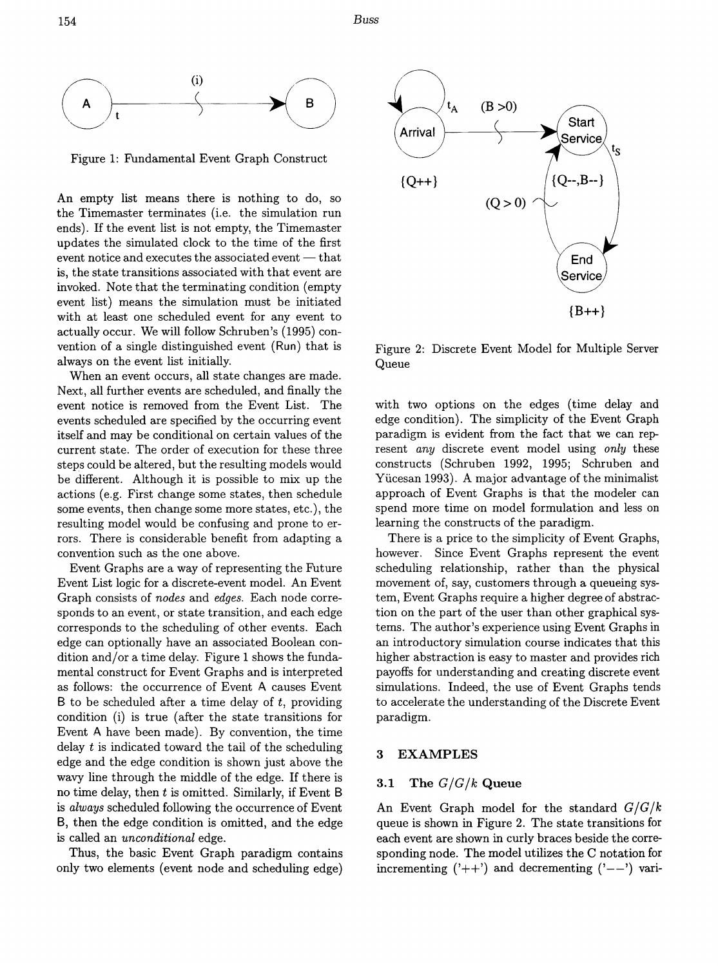*Buss*



Figure 1: Fundamental Event Graph Construct

An empty list means there is nothing to do, so the Timemaster terminates (i.e. the simulation run ends). If the event list is not empty, the Timemaster updates the simulated clock to the time of the first event notice and executes the associated event  $-$  that is, the state transitions associated with that event are invoked. Note that the terminating condition (empty event list) means the simulation must be initiated with at least one scheduled event for any event to actually occur. We will follow Schruben's (1995) convention of a single distinguished event (Run) that is always on the event list initially.

When an event occurs, all state changes are made. Next, all further events are scheduled, and finally the event notice is removed from the Event List. The events scheduled are specified by the occurring event itself and may be conditional on certain values of the current state. The order of execution for these three steps could be altered, but the resulting models would be different. Although it is possible to mix up the actions (e.g. First change some states, then schedule some events, then change some more states, etc.), the resulting model would be confusing and prone to errors. There is considerable benefit from adapting a convention such as the one above.

Event Graphs are a way of representing the Future Event List logic for a discrete-event model. An Event Graph consists of *nodes* and *edges.* Each node corresponds to an event, or state transition, and each edge corresponds to the scheduling of other events. Each edge can optionally have an associated Boolean condition and/or a time delay. Figure 1 shows the fundamental construct for Event Graphs and is interpreted as follows: the occurrence of Event A causes Event B to be scheduled after a time delay of *t,* providing condition (i) is true (after the state transitions for Event A have been made). By convention, the time delay *t* is indicated toward the tail of the scheduling edge and the edge condition is shown just above the wavy line through the middle of the edge. If there is no time delay, then *t* is omitted. Similarly, if Event B is *always* scheduled following the occurrence of Event B, then the edge condition is omitted, and the edge is called an *unconditional* edge.

Thus, the basic Event Graph paradigm contains only two elements (event node and scheduling edge)



Figure 2: Discrete Event Model for Multiple Server Queue

with two options on the edges (time delay and edge condition). The simplicity of the Event Graph paradigm is evident from the fact that we can represent *any* discrete event model using *only* these constructs (Schruben 1992, 1995; Schruben and Yiicesan 1993). A major advantage of the minimalist approach of Event Graphs is that the modeler can spend more time on model formulation and less on learning the constructs of the paradigm.

There is a price to the simplicity of Event Graphs, however. Since Event Graphs represent the event scheduling relationship, rather than the physical movement of, say, customers through a queueing system, Event Graphs require a higher degree of abstraction on the part of the user than other graphical systems. The author's experience using Event Graphs in an introductory simulation course indicates that this higher abstraction is easy to master and provides rich payoffs for understanding and creating discrete event simulations. Indeed, the use of Event Graphs tends to accelerate the understanding of the Discrete Event paradigm.

# 3 EXAMPLES

## 3.1 The *G/G/k* Queue

An Event Graph model for the standard *G/G/k* queue is shown in Figure 2. The state transitions for each event are shown in curly braces beside the corresponding node. The model utilizes the C notation for incrementing  $('++)$  and decrementing  $'--'$  vari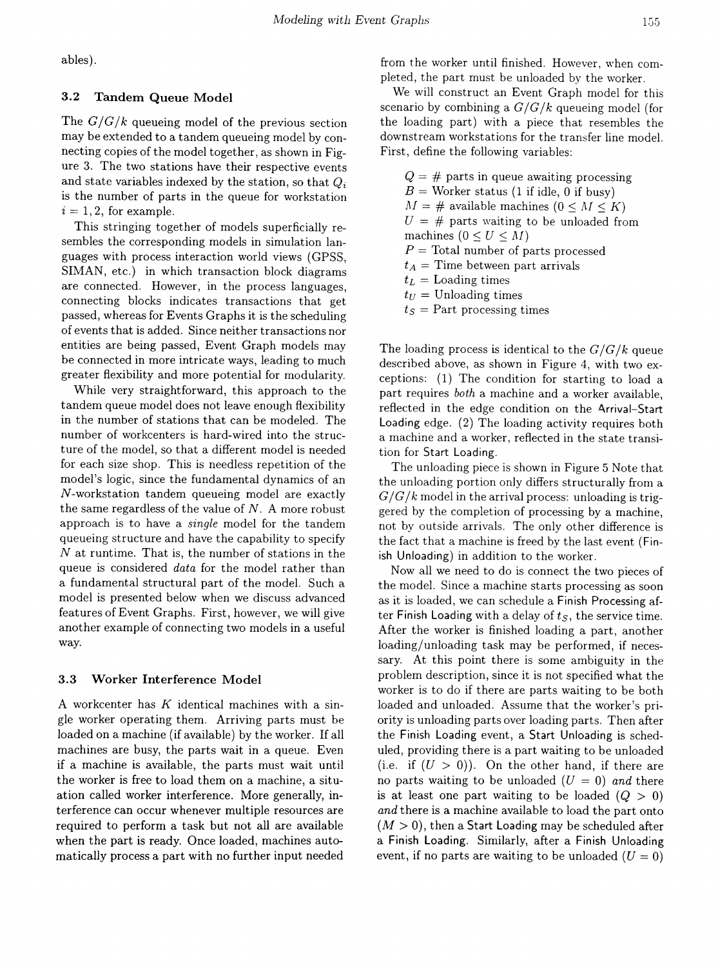abIes).

## 3.2 Tandem Queue Model

The  $G/G/k$  queueing model of the previous section may be extended to a tandem queueing model by connecting copies of the model together, as shown in Figure 3. The two stations have their respective events and state variables indexed by the station, so that  $Q_i$ is the number of parts in the queue for workstation  $i = 1, 2$ , for example.

This stringing together of models superficially resembles the corresponding models in simulation languages with process interaction world views (GPSS, SIMAN, etc.) in which transaction block diagrams are connected. However, in the process languages, connecting blocks indicates transactions that get passed, whereas for Events Graphs it is the scheduling of events that is added. Since neither transactions nor entities are being passed, Event Graph models may be connected in more intricate ways, leading to much greater flexibility and more potential for modularity.

While very straightforward, this approach to the tandem queue model does not leave enough flexibility in the number of stations that can be modeled. The number of workcenters is hard-wired into the structure of the model, so that a different model is needed for each size shop. This is needless repetition of the model's logic, since the fundamental dynamics of an N-workstation tandem queueing model are exactly the same regardless of the value of *N.* A more robust approach is to have a *single* model for the tandem queueing structure and have the capability to specify *N* at runtime. That is, the number of stations in the queue is considered *data* for the model rather than a fundamental structural part of the model. Such a model is presented below when we discuss advanced features of Event Graphs. First, however, we will give another example of connecting two models in a useful way.

### 3.3 Worker Interference Model

A workcenter has *K* identical machines with a single worker operating them. Arriving parts must be loaded on a machine (if available) by the worker. If all machines are busy, the parts wait in a queue. Even if a machine is available, the parts must wait until the worker is free to load them on a machine, a situation called worker interference. More generally, interference can occur whenever multiple resources are required to perform a task but not all are available when the part is ready. Once loaded, machines automatically process a part with no further input needed from the worker until finished. However, when completed, the part must be unloaded by the worker.

We will construct an Event Graph model for this scenario by combining a  $G/G/k$  queueing model (for the loading part) \vith a piece that resembles the downstream workstations for the transfer line model. First, define the following variables:

|                                       | $Q = #$ parts in queue awaiting processing      |  |  |
|---------------------------------------|-------------------------------------------------|--|--|
|                                       | $B =$ Worker status (1 if idle, 0 if busy)      |  |  |
|                                       | $M = \#$ available machines $(0 \leq M \leq K)$ |  |  |
|                                       | $U = #$ parts waiting to be unloaded from       |  |  |
|                                       | machines $(0 \leq U \leq M)$                    |  |  |
| $P =$ Total number of parts processed |                                                 |  |  |
| $t_A$ = Time between part arrivals    |                                                 |  |  |
|                                       | $t_L =$ Loading times                           |  |  |
|                                       | $t_U =$ Unloading times                         |  |  |
|                                       |                                                 |  |  |

 $t_s$  = Part processing times

The loading process is identical to the  $G/G/k$  queue described above, as shown in Figure 4, with two exceptions: (1) The condition for starting to load a part requires *both* a machine and a worker available, reflected in the edge condition on the Arrival-Start Loading edge. (2) The loading activity requires both a machine and a worker, reflected in the state transition for Start Loading.

The unloading piece is shown in Figure 5 Note that the unloading portion only differs structurally from a  $G/G/k$  model in the arrival process: unloading is triggered by the completion of processing by a machine, not by outside arrivals. The only other difference is the fact that a machine is freed by the last event (Finish Unloading) in addition to the worker.

Now all we need to do is connect the two pieces of the model. Since a machine starts processing as soon as it is loaded, we can schedule a Finish Processing after Finish Loading with a delay of *ts,* the service time. After the worker is finished loading a part, another loading/unloading task may be performed, if necessary. At this point there is some ambiguity in the problem description, since it is not specified what the worker is to do if there are parts waiting to be both loaded and unloaded. Assume that the worker's priority is unloading parts over loading parts. Then after the Finish Loading event, a Start Unloading is scheduled, providing there is a part waiting to be unloaded (i.e. if  $(U > 0)$ ). On the other hand, if there are no parts waiting to be unloaded  $(U = 0)$  and there is at least one part waiting to be loaded  $(Q > 0)$ *and* there is a machine available to load the part onto  $(M > 0)$ , then a Start Loading may be scheduled after a Finish Loading. Similarly, after a Finish Unloading event, if no parts are waiting to be unloaded  $(U = 0)$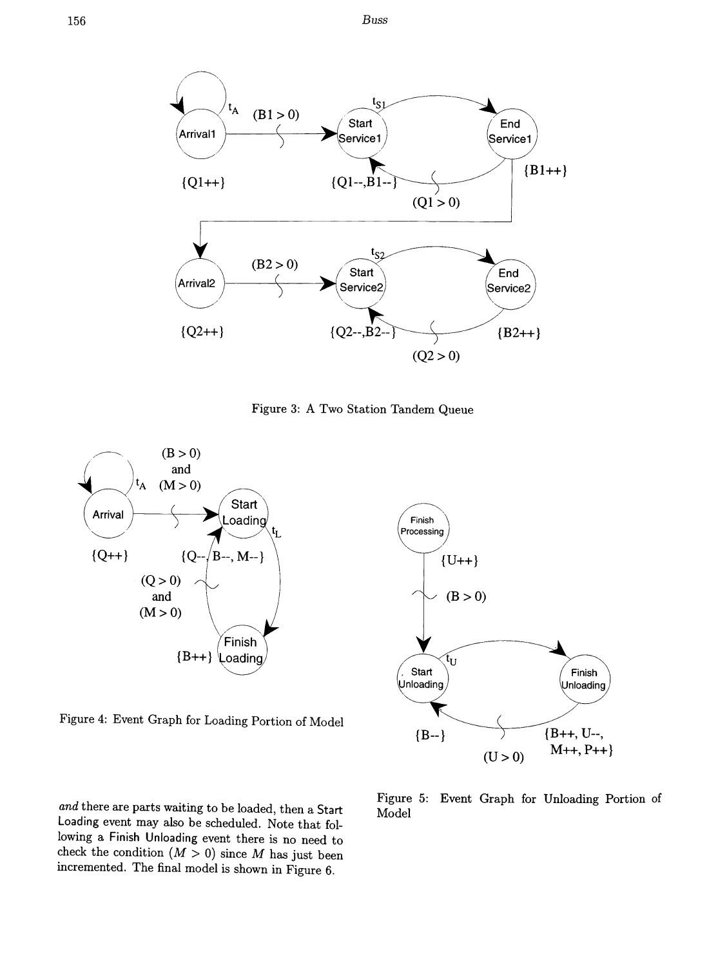<sup>156</sup> *Buss*



Figure 3: A Two Station Tandem Queue



Figure 4: Event Graph for Loading Portion of Model

*and* there are parts waiting to be loaded, then a Start Loading event may also be scheduled. Note that following a Finish Unloading event there is no need to check the condition  $(M > 0)$  since M has just been incremented. The final model is shown in Figure 6.



Figure 5: Event Graph for Unloading Portion of Model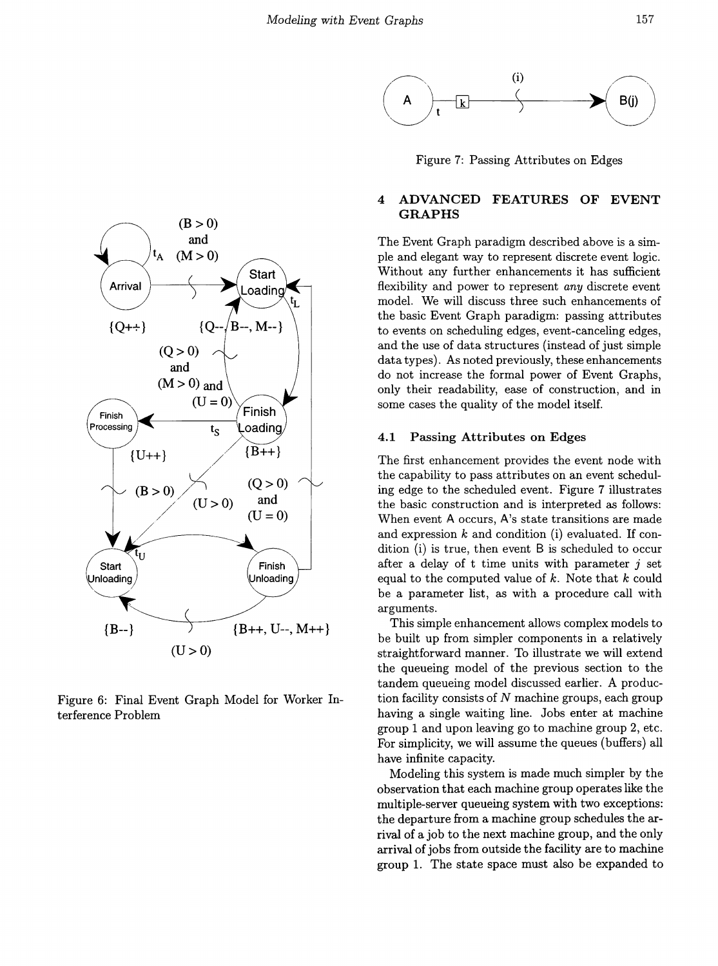



Figure 6: Final Event Graph Model for Worker Interference Problem



Figure 7: Passing Attributes on Edges

# 4 ADVANCED FEATURES OF EVENT GRAPHS

The Event Graph paradigm described above is a simple and elegant way to represent discrete event logic. Without any further enhancements it has sufficient flexibility and power to represent *any* discrete event model. We will discuss three such enhancements of the basic Event Graph paradigm: passing attributes to events on scheduling edges, event-canceling edges, and the use of data structures (instead of just simple data types). As noted previously, these enhancements do not increase the formal power of Event Graphs, only their readability, ease of construction, and in some cases the quality of the model itself.

#### 4.1 Passing Attributes on Edges

The first enhancement provides the event node with the capability to pass attributes on an event scheduling edge to the scheduled event. Figure 7 illustrates the basic construction and is interpreted as follows: When event A occurs, A's state transitions are made and expression  $k$  and condition (i) evaluated. If condition (i) is true, then event B is scheduled to occur after a delay of t time units with parameter  $i$  set equal to the computed value of  $k$ . Note that  $k$  could be a parameter list, as with a procedure call with arguments.

This simple enhancement allows complex models to be built up from simpler components in a relatively straightforward manner. To illustrate we will extend the queueing model of the previous section to the tandem queueing model discussed earlier. A production facility consists of  $N$  machine groups, each group having a single waiting line. Jobs enter at machine group 1 and upon leaving go to machine group 2, etc. For simplicity, we will assume the queues (buffers) all have infinite capacity.

Modeling this system is made much simpler by the observation that each machine group operates like the multiple-server queueing system with two exceptions: the departure from a machine group schedules the arrival of a job to the next machine group, and the only arrival of jobs from outside the facility are to machine group 1. The state space must also be expanded to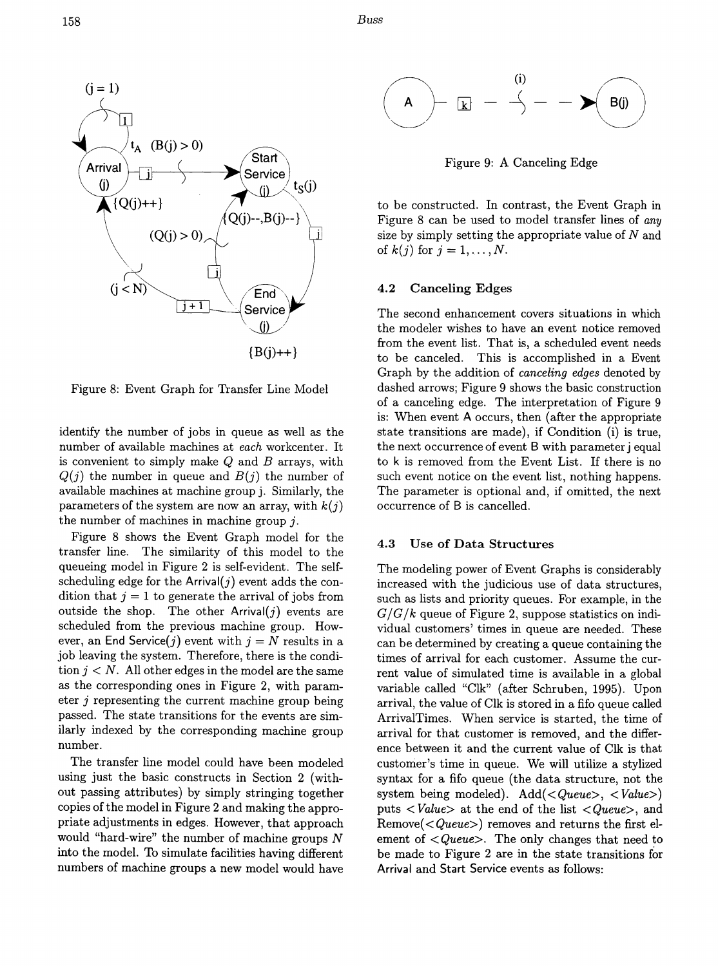158 *Buss*



Figure 8: Event Graph for Transfer Line Model

identify the number of jobs in queue as well as the number of available machines at *each* workcenter. It is convenient to simply make  $Q$  and  $B$  arrays, with  $Q(j)$  the number in queue and  $B(j)$  the number of available machines at machine group j. Similarly, the parameters of the system are now an array, with *k(j)* the number of machines in machine group  $j$ .

Figure 8 shows the Event Graph model for the transfer line. The similarity of this model to the queueing model in Figure 2 is self-evident. The selfscheduling edge for the Arrival $(j)$  event adds the condition that  $j = 1$  to generate the arrival of jobs from outside the shop. The other Arrival $(j)$  events are scheduled from the previous machine group. However, an End Service(j) event with  $j = N$  results in a job leaving the system. Therefore, there is the condition  $j < N$ . All other edges in the model are the same as the corresponding ones in Figure 2, with parameter  $j$  representing the current machine group being passed. The state transitions for the events are similarly indexed by the corresponding machine group number.

The transfer line model could have been modeled using just the basic constructs in Section 2 (without passing attributes) by simply stringing together copies of the model in Figure 2 and making the appropriate adjustments in edges. However, that approach would "hard-wire" the number of machine groups  $N$ into the model. To simulate facilities having different numbers of machine groups a new model would have



Figure 9: A Canceling Edge

to be constructed. In contrast, the Event Graph in Figure 8 can be used to model transfer lines of any size by simply setting the appropriate value of  $N$  and of  $k(j)$  for  $j = 1, ..., N$ .

### 4.2 Canceling Edges

The second enhancement covers situations in which the modeler wishes to have an event notice removed from the event list. That is, a scheduled event needs to be canceled. This is accomplished in a Event Graph by the addition of *canceling edges* denoted by dashed arrows; Figure 9 shows the basic construction of a canceling edge. The interpretation of Figure 9 is: When event A occurs, then (after the appropriate state transitions are made), if Condition (i) is true, the next occurrence of event B with parameter j equal to k is removed from the Event List. If there is no such event notice on the event list, nothing happens. The parameter is optional and, if omitted, the next occurrence of B is cancelled.

## 4.3 Use of Data Structures

The modeling power of Event Graphs is considerably increased with the judicious use of data structures, such as lists and priority queues. For example, in the  $G/G/k$  queue of Figure 2, suppose statistics on individual customers' times in queue are needed. These can be determined by creating a queue containing the times of arrival for each customer. Assume the current value of simulated time is available in a global variable called "Clk" (after Schruben, 1995). Upon arrival, the value of Clk is stored in a fifo queue called ArrivalTimes. When service is started, the time of arrival for that customer is removed, and the difference between it and the current value of Clk is that customer's time in queue. We will utilize a stylized syntax for a fifo queue (the data structure, not the system being modeled). Add(< *Queue>,* < *Value»* puts < *Value>* at the end of the list < *Queue>,* and Remove( $\langle \textit{Queue} \rangle$ ) removes and returns the first element of < *Queue>.* The only changes that need to be made to Figure 2 are in the state transitions for Arrival and Start Service events as follows: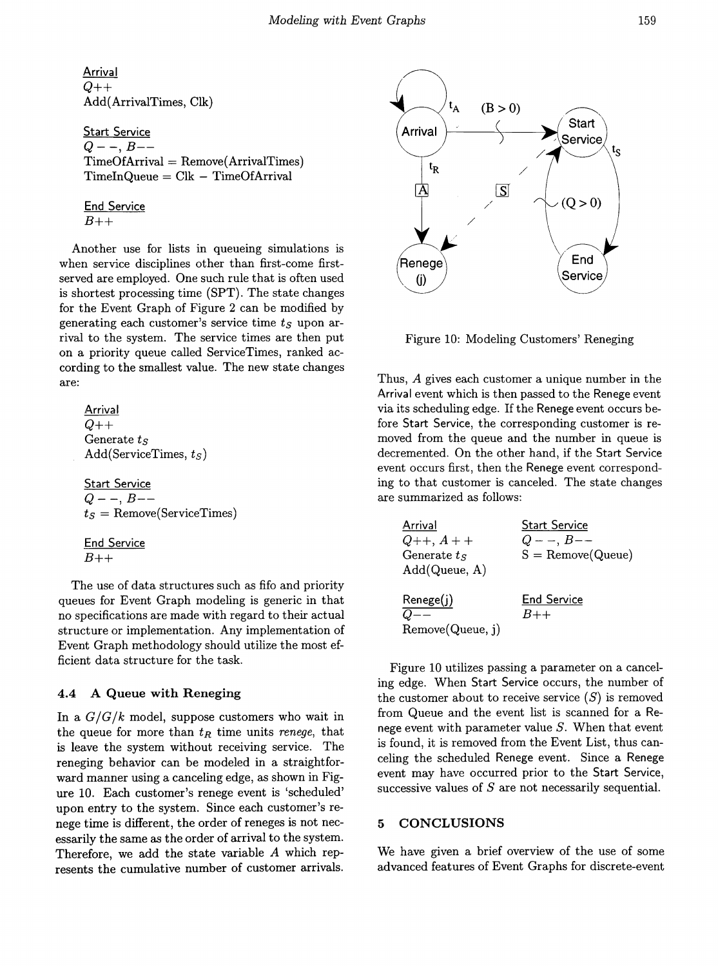Arrival *Q++* Add(ArrivalTimes, Clk)

Start Service Q- -, *B--*  $TimeOfArrival = Remove(ArrivalTimes)$  $TimeInQueue = Clk - TimeOfArrival$ 

**End Service** *B++*

Another use for lists in queueing simulations is when service disciplines other than first-come firstserved are employed. One such rule that is often used is shortest processing time (SPT). The state changes for the Event Graph of Figure 2 can be modified by generating each customer's service time *ts* upon arrival to the system. The service times are then put on a priority queue called ServiceTimes, ranked according to the smallest value. The new state changes are:

| Arrival                      |
|------------------------------|
| $Q++$                        |
| Generate $t_S$               |
| Add(ServativeTimes, $t_S$ )  |
| $Start Service$              |
| $Q --$ , $B--$               |
| $t_S$ = Remove(ServiceTimes) |
| $End Service$                |
| $B++$                        |

The use of data structures such as fifo and priority queues for Event Graph modeling is generic in that no specifications are made with regard to their actual structure or implementation. Any implementation of Event Graph methodology should utilize the most efficient data structure for the task.

# 4.4 A Queue with Reneging

In a *G/G/k* model, suppose customers who wait in the queue for more than  $t_R$  time units *renege*, that is leave the system without receiving service. The reneging behavior can be modeled in a straightforward manner using a canceling edge, as shown in Figure 10. Each customer's renege event is 'scheduled' upon entry to the system. Since each customer's renege time is different, the order of reneges is not necessarily the same as the order of arrival to the system. Therefore, we add the state variable *A* which represents the cumulative number of customer arrivals.



Figure 10: Modeling Customers' Reneging

Thus, A gives each customer a unique number in the Arrival event which is then passed to the Renege event via its scheduling edge. If the Renege event occurs before Start Service, the corresponding customer is removed from the queue and the number in queue is decremented. On the other hand, if the Start Service event occurs first, then the Renege event corresponding to that customer is canceled. The state changes are summarized as follows:

| Arrival          | <b>Start Service</b> |
|------------------|----------------------|
| $Q_{++}, A_{++}$ | $Q - -$ , $B - -$    |
| Generate $t_S$   | $S =$ Remove(Queue)  |
| Add(Queue, A)    |                      |
| Renege(j)        | <b>End Service</b>   |
| $Q$ --           | $B++$                |
| Remove(Queue, j) |                      |

Figure 10 utilizes passing a parameter on a canceling edge. When Start Service occurs, the number of the customer about to receive service  $(S)$  is removed from Queue and the event list is scanned for a Renege event with parameter value *S.* When that event is found, it is removed from the Event List, thus canceling the scheduled Renege event. Since a Renege event may have occurred prior to the Start Service, successive values of *S* are not necessarily sequential.

# 5 CONCLUSIONS

We have given a brief overview of the use of some advanced features of Event Graphs for discrete-event